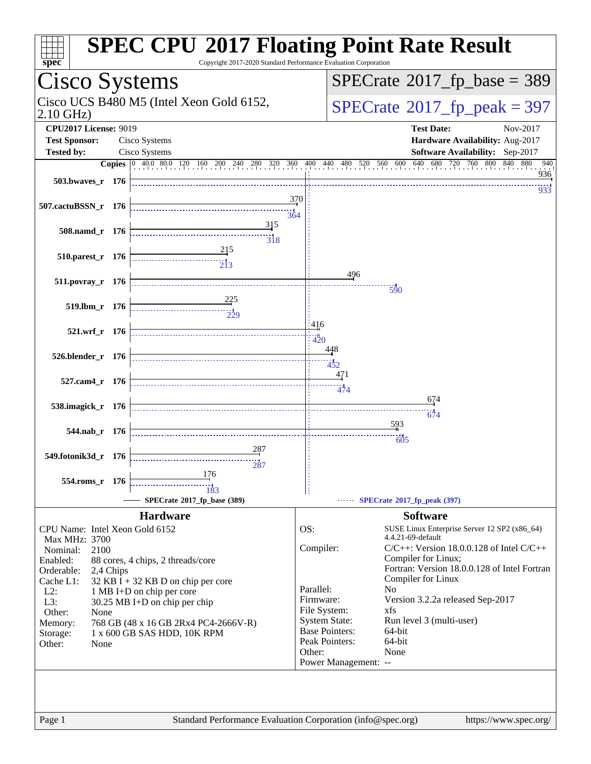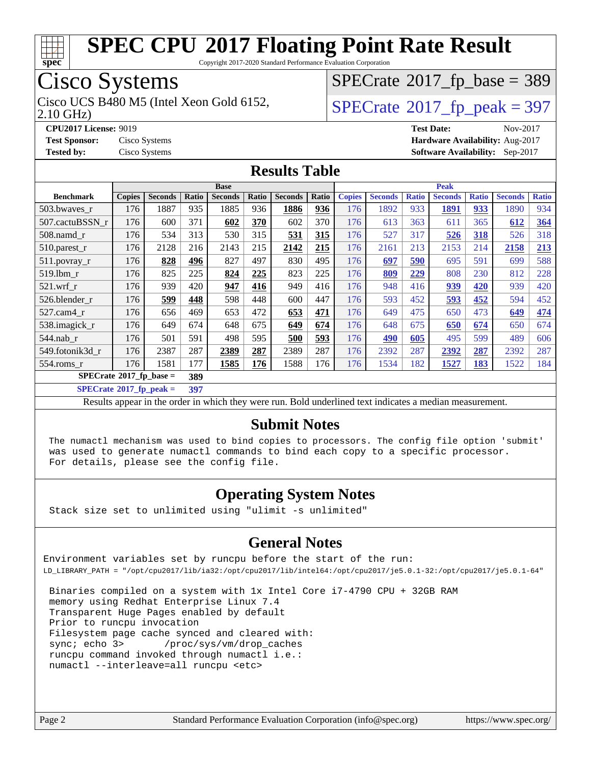

Copyright 2017-2020 Standard Performance Evaluation Corporation

### Cisco Systems

2.10 GHz) Cisco UCS B480 M5 (Intel Xeon Gold 6152,  $\vert$ [SPECrate](http://www.spec.org/auto/cpu2017/Docs/result-fields.html#SPECrate2017fppeak)®[2017\\_fp\\_peak = 3](http://www.spec.org/auto/cpu2017/Docs/result-fields.html#SPECrate2017fppeak)97

 $SPECTate$ <sup>®</sup>[2017\\_fp\\_base =](http://www.spec.org/auto/cpu2017/Docs/result-fields.html#SPECrate2017fpbase) 389

**[CPU2017 License:](http://www.spec.org/auto/cpu2017/Docs/result-fields.html#CPU2017License)** 9019 **[Test Date:](http://www.spec.org/auto/cpu2017/Docs/result-fields.html#TestDate)** Nov-2017 **[Test Sponsor:](http://www.spec.org/auto/cpu2017/Docs/result-fields.html#TestSponsor)** Cisco Systems **[Hardware Availability:](http://www.spec.org/auto/cpu2017/Docs/result-fields.html#HardwareAvailability)** Aug-2017 **[Tested by:](http://www.spec.org/auto/cpu2017/Docs/result-fields.html#Testedby)** Cisco Systems **[Software Availability:](http://www.spec.org/auto/cpu2017/Docs/result-fields.html#SoftwareAvailability)** Sep-2017

#### **[Results Table](http://www.spec.org/auto/cpu2017/Docs/result-fields.html#ResultsTable)**

|                                          | <b>Base</b>   |                |       |                |       | <b>Peak</b>    |       |               |                |              |                |              |                |              |
|------------------------------------------|---------------|----------------|-------|----------------|-------|----------------|-------|---------------|----------------|--------------|----------------|--------------|----------------|--------------|
| <b>Benchmark</b>                         | <b>Copies</b> | <b>Seconds</b> | Ratio | <b>Seconds</b> | Ratio | <b>Seconds</b> | Ratio | <b>Copies</b> | <b>Seconds</b> | <b>Ratio</b> | <b>Seconds</b> | <b>Ratio</b> | <b>Seconds</b> | <b>Ratio</b> |
| 503.bwaves r                             | 176           | 1887           | 935   | 1885           | 936   | 1886           | 936   | 176           | 1892           | 933          | 1891           | 933          | 1890           | 934          |
| 507.cactuBSSN r                          | 176           | 600            | 371   | 602            | 370   | 602            | 370   | 176           | 613            | 363          | 611            | 365          | 612            | 364          |
| 508.namd r                               | 176           | 534            | 313   | 530            | 315   | 531            | 315   | 176           | 527            | 317          | 526            | 318          | 526            | 318          |
| 510.parest_r                             | 176           | 2128           | 216   | 2143           | 215   | 2142           | 215   | 176           | 2161           | 213          | 2153           | 214          | 2158           | 213          |
| 511.povray_r                             | 176           | 828            | 496   | 827            | 497   | 830            | 495   | 176           | 697            | 590          | 695            | 591          | 699            | 588          |
| 519.1bm r                                | 176           | 825            | 225   | 824            | 225   | 823            | 225   | 176           | 809            | 229          | 808            | 230          | 812            | 228          |
| $521$ .wrf r                             | 176           | 939            | 420   | 947            | 416   | 949            | 416   | 176           | 948            | 416          | 939            | 420          | 939            | 420          |
| 526.blender r                            | 176           | 599            | 448   | 598            | 448   | 600            | 447   | 176           | 593            | 452          | 593            | 452          | 594            | 452          |
| 527.cam4 r                               | 176           | 656            | 469   | 653            | 472   | 653            | 471   | 176           | 649            | 475          | 650            | 473          | 649            | 474          |
| 538.imagick_r                            | 176           | 649            | 674   | 648            | 675   | 649            | 674   | 176           | 648            | 675          | 650            | 674          | 650            | 674          |
| $544$ .nab r                             | 176           | 501            | 591   | 498            | 595   | 500            | 593   | 176           | 490            | 605          | 495            | 599          | 489            | 606          |
| 549.fotonik3d r                          | 176           | 2387           | 287   | 2389           | 287   | 2389           | 287   | 176           | 2392           | 287          | 2392           | 287          | 2392           | 287          |
| $554$ .roms $r$                          | 176           | 1581           | 177   | 1585           | 176   | 1588           | 176   | 176           | 1534           | 182          | 1527           | 183          | 1522           | 184          |
| $SPECrate^{\circ}2017$ _fp_base =<br>389 |               |                |       |                |       |                |       |               |                |              |                |              |                |              |

**[SPECrate](http://www.spec.org/auto/cpu2017/Docs/result-fields.html#SPECrate2017fppeak)[2017\\_fp\\_peak =](http://www.spec.org/auto/cpu2017/Docs/result-fields.html#SPECrate2017fppeak) 397**

Results appear in the [order in which they were run](http://www.spec.org/auto/cpu2017/Docs/result-fields.html#RunOrder). Bold underlined text [indicates a median measurement](http://www.spec.org/auto/cpu2017/Docs/result-fields.html#Median).

#### **[Submit Notes](http://www.spec.org/auto/cpu2017/Docs/result-fields.html#SubmitNotes)**

 The numactl mechanism was used to bind copies to processors. The config file option 'submit' was used to generate numactl commands to bind each copy to a specific processor. For details, please see the config file.

#### **[Operating System Notes](http://www.spec.org/auto/cpu2017/Docs/result-fields.html#OperatingSystemNotes)**

Stack size set to unlimited using "ulimit -s unlimited"

#### **[General Notes](http://www.spec.org/auto/cpu2017/Docs/result-fields.html#GeneralNotes)**

Environment variables set by runcpu before the start of the run: LD\_LIBRARY\_PATH = "/opt/cpu2017/lib/ia32:/opt/cpu2017/lib/intel64:/opt/cpu2017/je5.0.1-32:/opt/cpu2017/je5.0.1-64"

 Binaries compiled on a system with 1x Intel Core i7-4790 CPU + 32GB RAM memory using Redhat Enterprise Linux 7.4 Transparent Huge Pages enabled by default Prior to runcpu invocation Filesystem page cache synced and cleared with: sync; echo 3> /proc/sys/vm/drop\_caches runcpu command invoked through numactl i.e.: numactl --interleave=all runcpu <etc>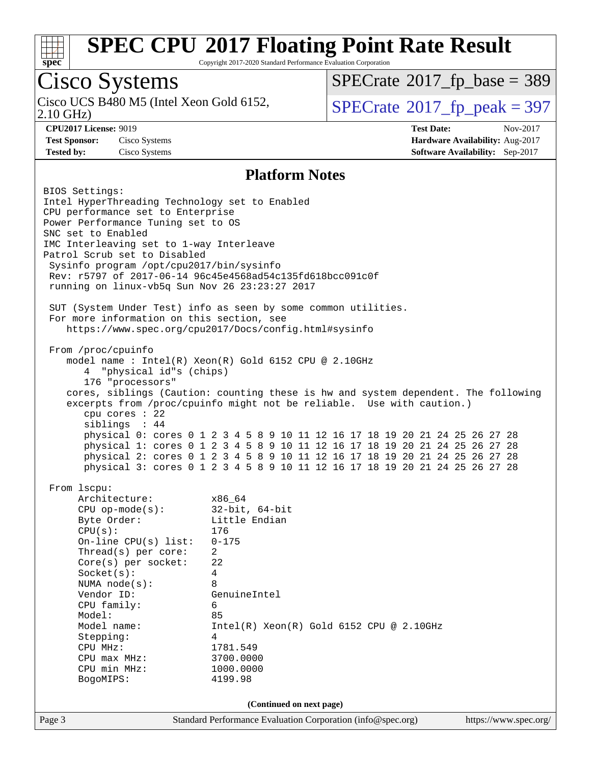

Copyright 2017-2020 Standard Performance Evaluation Corporation

### Cisco Systems

2.10 GHz) Cisco UCS B480 M5 (Intel Xeon Gold 6152,  $\vert$ [SPECrate](http://www.spec.org/auto/cpu2017/Docs/result-fields.html#SPECrate2017fppeak)®[2017\\_fp\\_peak = 3](http://www.spec.org/auto/cpu2017/Docs/result-fields.html#SPECrate2017fppeak)97

 $SPECTate$ <sup>®</sup>[2017\\_fp\\_base =](http://www.spec.org/auto/cpu2017/Docs/result-fields.html#SPECrate2017fpbase) 389

**[CPU2017 License:](http://www.spec.org/auto/cpu2017/Docs/result-fields.html#CPU2017License)** 9019 **[Test Date:](http://www.spec.org/auto/cpu2017/Docs/result-fields.html#TestDate)** Nov-2017 **[Test Sponsor:](http://www.spec.org/auto/cpu2017/Docs/result-fields.html#TestSponsor)** Cisco Systems **[Hardware Availability:](http://www.spec.org/auto/cpu2017/Docs/result-fields.html#HardwareAvailability)** Aug-2017 **[Tested by:](http://www.spec.org/auto/cpu2017/Docs/result-fields.html#Testedby)** Cisco Systems **[Software Availability:](http://www.spec.org/auto/cpu2017/Docs/result-fields.html#SoftwareAvailability)** Sep-2017

#### **[Platform Notes](http://www.spec.org/auto/cpu2017/Docs/result-fields.html#PlatformNotes)**

Page 3 Standard Performance Evaluation Corporation [\(info@spec.org\)](mailto:info@spec.org) <https://www.spec.org/> BIOS Settings: Intel HyperThreading Technology set to Enabled CPU performance set to Enterprise Power Performance Tuning set to OS SNC set to Enabled IMC Interleaving set to 1-way Interleave Patrol Scrub set to Disabled Sysinfo program /opt/cpu2017/bin/sysinfo Rev: r5797 of 2017-06-14 96c45e4568ad54c135fd618bcc091c0f running on linux-vb5q Sun Nov 26 23:23:27 2017 SUT (System Under Test) info as seen by some common utilities. For more information on this section, see <https://www.spec.org/cpu2017/Docs/config.html#sysinfo> From /proc/cpuinfo model name : Intel(R) Xeon(R) Gold 6152 CPU @ 2.10GHz 4 "physical id"s (chips) 176 "processors" cores, siblings (Caution: counting these is hw and system dependent. The following excerpts from /proc/cpuinfo might not be reliable. Use with caution.) cpu cores : 22 siblings : 44 physical 0: cores 0 1 2 3 4 5 8 9 10 11 12 16 17 18 19 20 21 24 25 26 27 28 physical 1: cores 0 1 2 3 4 5 8 9 10 11 12 16 17 18 19 20 21 24 25 26 27 28 physical 2: cores 0 1 2 3 4 5 8 9 10 11 12 16 17 18 19 20 21 24 25 26 27 28 physical 3: cores 0 1 2 3 4 5 8 9 10 11 12 16 17 18 19 20 21 24 25 26 27 28 From lscpu: Architecture: x86\_64 CPU op-mode(s): 32-bit, 64-bit Byte Order: Little Endian CPU(s): 176 On-line CPU(s) list: 0-175 Thread(s) per core: 2 Core(s) per socket: 22 Socket(s): 4 NUMA node(s): 8 Vendor ID: GenuineIntel CPU family: 6 Model: 85 Model name: Intel(R) Xeon(R) Gold 6152 CPU @ 2.10GHz Stepping: 4 CPU MHz: 1781.549 CPU max MHz: 3700.0000 CPU min MHz: 1000.0000 BogoMIPS: 4199.98 **(Continued on next page)**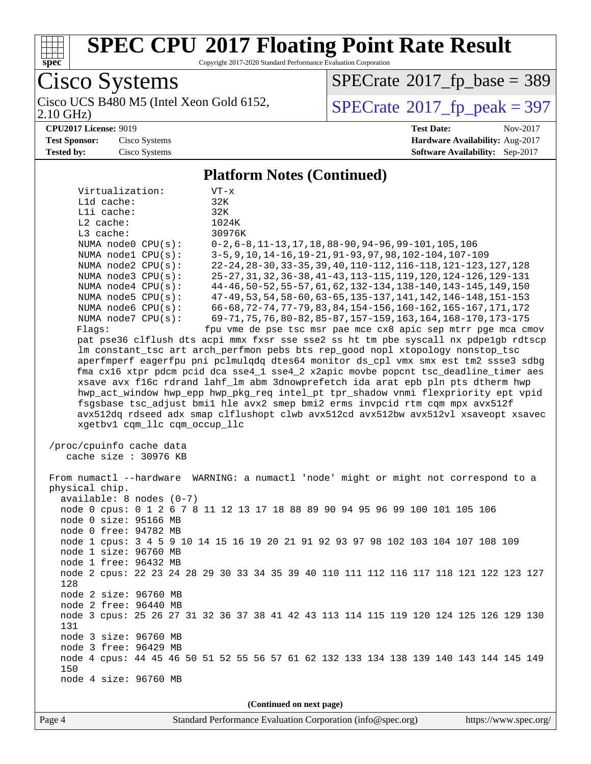

Copyright 2017-2020 Standard Performance Evaluation Corporation

Cisco Systems<br>Cisco UCS B480 M5 (Intel Xeon Gold 6152, 2.10 GHz)

 $SPECrate$ <sup>®</sup>[2017\\_fp\\_base =](http://www.spec.org/auto/cpu2017/Docs/result-fields.html#SPECrate2017fpbase) 389

 $SPECTate$ <sup>®</sup>[2017\\_fp\\_peak = 3](http://www.spec.org/auto/cpu2017/Docs/result-fields.html#SPECrate2017fppeak)97

#### **[CPU2017 License:](http://www.spec.org/auto/cpu2017/Docs/result-fields.html#CPU2017License)** 9019

**[Test Sponsor:](http://www.spec.org/auto/cpu2017/Docs/result-fields.html#TestSponsor)** Cisco Systems **[Tested by:](http://www.spec.org/auto/cpu2017/Docs/result-fields.html#Testedby)** Cisco Systems

| <b>Test Date:</b>                      | Nov-2017 |
|----------------------------------------|----------|
| Hardware Availability: Aug-2017        |          |
| <b>Software Availability:</b> Sep-2017 |          |

#### **[Platform Notes \(Continued\)](http://www.spec.org/auto/cpu2017/Docs/result-fields.html#PlatformNotes)**

| Virtualization:                                                                                                                                                     | VT-x                                                                                  |  |  |  |  |  |  |  |  |  |
|---------------------------------------------------------------------------------------------------------------------------------------------------------------------|---------------------------------------------------------------------------------------|--|--|--|--|--|--|--|--|--|
| L1d cache:                                                                                                                                                          | 32K                                                                                   |  |  |  |  |  |  |  |  |  |
| Lli cache:                                                                                                                                                          | 32K                                                                                   |  |  |  |  |  |  |  |  |  |
| L2 cache:                                                                                                                                                           | 1024K                                                                                 |  |  |  |  |  |  |  |  |  |
| L3 cache:                                                                                                                                                           | 30976K                                                                                |  |  |  |  |  |  |  |  |  |
| NUMA node0 CPU(s):                                                                                                                                                  | $0-2, 6-8, 11-13, 17, 18, 88-90, 94-96, 99-101, 105, 106$                             |  |  |  |  |  |  |  |  |  |
| NUMA nodel CPU(s):                                                                                                                                                  | 3-5, 9, 10, 14-16, 19-21, 91-93, 97, 98, 102-104, 107-109                             |  |  |  |  |  |  |  |  |  |
| NUMA $node2$ $CPU(s)$ :                                                                                                                                             | 22-24, 28-30, 33-35, 39, 40, 110-112, 116-118, 121-123, 127, 128                      |  |  |  |  |  |  |  |  |  |
| NUMA node3 CPU(s):                                                                                                                                                  | 25-27, 31, 32, 36-38, 41-43, 113-115, 119, 120, 124-126, 129-131                      |  |  |  |  |  |  |  |  |  |
| NUMA $node4$ $CPU(s):$                                                                                                                                              | 44-46, 50-52, 55-57, 61, 62, 132-134, 138-140, 143-145, 149, 150                      |  |  |  |  |  |  |  |  |  |
| NUMA node5 CPU(s):                                                                                                                                                  | 47-49, 53, 54, 58-60, 63-65, 135-137, 141, 142, 146-148, 151-153                      |  |  |  |  |  |  |  |  |  |
| NUMA node6 CPU(s):                                                                                                                                                  | 66-68, 72-74, 77-79, 83, 84, 154-156, 160-162, 165-167, 171, 172                      |  |  |  |  |  |  |  |  |  |
| NUMA node7 CPU(s):                                                                                                                                                  | 69-71, 75, 76, 80-82, 85-87, 157-159, 163, 164, 168-170, 173-175                      |  |  |  |  |  |  |  |  |  |
| fpu vme de pse tsc msr pae mce cx8 apic sep mtrr pge mca cmov<br>Flaqs:<br>pat pse36 clflush dts acpi mmx fxsr sse sse2 ss ht tm pbe syscall nx pdpelgb rdtscp      |                                                                                       |  |  |  |  |  |  |  |  |  |
|                                                                                                                                                                     |                                                                                       |  |  |  |  |  |  |  |  |  |
| lm constant_tsc art arch_perfmon pebs bts rep_good nopl xtopology nonstop_tsc<br>aperfmperf eagerfpu pni pclmulqdq dtes64 monitor ds_cpl vmx smx est tm2 ssse3 sdbg |                                                                                       |  |  |  |  |  |  |  |  |  |
|                                                                                                                                                                     | fma cx16 xtpr pdcm pcid dca sse4_1 sse4_2 x2apic movbe popcnt tsc_deadline_timer aes  |  |  |  |  |  |  |  |  |  |
|                                                                                                                                                                     | xsave avx f16c rdrand lahf_lm abm 3dnowprefetch ida arat epb pln pts dtherm hwp       |  |  |  |  |  |  |  |  |  |
|                                                                                                                                                                     | hwp_act_window hwp_epp hwp_pkg_req intel_pt tpr_shadow vnmi flexpriority ept vpid     |  |  |  |  |  |  |  |  |  |
|                                                                                                                                                                     | fsgsbase tsc_adjust bmil hle avx2 smep bmi2 erms invpcid rtm cqm mpx avx512f          |  |  |  |  |  |  |  |  |  |
|                                                                                                                                                                     | avx512dq rdseed adx smap clflushopt clwb avx512cd avx512bw avx512vl xsaveopt xsavec   |  |  |  |  |  |  |  |  |  |
| xgetbv1 cqm_llc cqm_occup_llc                                                                                                                                       |                                                                                       |  |  |  |  |  |  |  |  |  |
|                                                                                                                                                                     |                                                                                       |  |  |  |  |  |  |  |  |  |
| /proc/cpuinfo cache data                                                                                                                                            |                                                                                       |  |  |  |  |  |  |  |  |  |
| cache size : 30976 KB                                                                                                                                               |                                                                                       |  |  |  |  |  |  |  |  |  |
|                                                                                                                                                                     |                                                                                       |  |  |  |  |  |  |  |  |  |
| From numactl --hardware WARNING: a numactl 'node' might or might not correspond to a                                                                                |                                                                                       |  |  |  |  |  |  |  |  |  |
| physical chip.                                                                                                                                                      |                                                                                       |  |  |  |  |  |  |  |  |  |
| $available: 8 nodes (0-7)$                                                                                                                                          |                                                                                       |  |  |  |  |  |  |  |  |  |
|                                                                                                                                                                     | node 0 cpus: 0 1 2 6 7 8 11 12 13 17 18 88 89 90 94 95 96 99 100 101 105 106          |  |  |  |  |  |  |  |  |  |
| node 0 size: 95166 MB                                                                                                                                               |                                                                                       |  |  |  |  |  |  |  |  |  |
| node 0 free: 94782 MB                                                                                                                                               |                                                                                       |  |  |  |  |  |  |  |  |  |
|                                                                                                                                                                     | node 1 cpus: 3 4 5 9 10 14 15 16 19 20 21 91 92 93 97 98 102 103 104 107 108 109      |  |  |  |  |  |  |  |  |  |
| node 1 size: 96760 MB<br>node 1 free: 96432 MB                                                                                                                      |                                                                                       |  |  |  |  |  |  |  |  |  |
|                                                                                                                                                                     | node 2 cpus: 22 23 24 28 29 30 33 34 35 39 40 110 111 112 116 117 118 121 122 123 127 |  |  |  |  |  |  |  |  |  |
| 128                                                                                                                                                                 |                                                                                       |  |  |  |  |  |  |  |  |  |
| node 2 size: 96760 MB                                                                                                                                               |                                                                                       |  |  |  |  |  |  |  |  |  |
| node 2 free: 96440 MB                                                                                                                                               |                                                                                       |  |  |  |  |  |  |  |  |  |
|                                                                                                                                                                     | node 3 cpus: 25 26 27 31 32 36 37 38 41 42 43 113 114 115 119 120 124 125 126 129 130 |  |  |  |  |  |  |  |  |  |
| 131                                                                                                                                                                 |                                                                                       |  |  |  |  |  |  |  |  |  |
| node 3 size: 96760 MB                                                                                                                                               |                                                                                       |  |  |  |  |  |  |  |  |  |
| node 3 free: 96429 MB                                                                                                                                               |                                                                                       |  |  |  |  |  |  |  |  |  |
|                                                                                                                                                                     | node 4 cpus: 44 45 46 50 51 52 55 56 57 61 62 132 133 134 138 139 140 143 144 145 149 |  |  |  |  |  |  |  |  |  |
| 150                                                                                                                                                                 |                                                                                       |  |  |  |  |  |  |  |  |  |
| node 4 size: 96760 MB                                                                                                                                               |                                                                                       |  |  |  |  |  |  |  |  |  |
|                                                                                                                                                                     |                                                                                       |  |  |  |  |  |  |  |  |  |
| (Continued on next page)                                                                                                                                            |                                                                                       |  |  |  |  |  |  |  |  |  |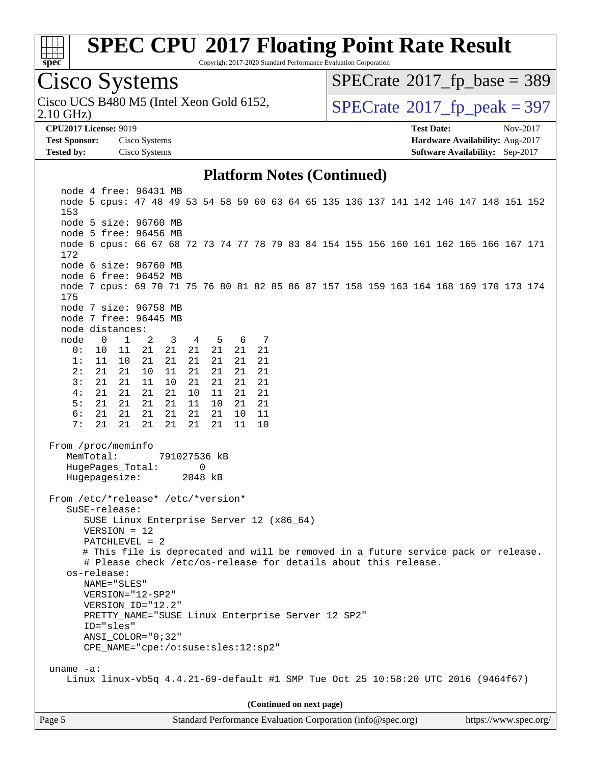

Copyright 2017-2020 Standard Performance Evaluation Corporation

## Cisco Systems

2.10 GHz) Cisco UCS B480 M5 (Intel Xeon Gold 6152,  $\vert$ [SPECrate](http://www.spec.org/auto/cpu2017/Docs/result-fields.html#SPECrate2017fppeak)®[2017\\_fp\\_peak = 3](http://www.spec.org/auto/cpu2017/Docs/result-fields.html#SPECrate2017fppeak)97

 $SPECTate$ <sup>®</sup>[2017\\_fp\\_base =](http://www.spec.org/auto/cpu2017/Docs/result-fields.html#SPECrate2017fpbase) 389

**[Test Sponsor:](http://www.spec.org/auto/cpu2017/Docs/result-fields.html#TestSponsor)** Cisco Systems **[Hardware Availability:](http://www.spec.org/auto/cpu2017/Docs/result-fields.html#HardwareAvailability)** Aug-2017 **[Tested by:](http://www.spec.org/auto/cpu2017/Docs/result-fields.html#Testedby)** Cisco Systems **[Software Availability:](http://www.spec.org/auto/cpu2017/Docs/result-fields.html#SoftwareAvailability)** Sep-2017

**[CPU2017 License:](http://www.spec.org/auto/cpu2017/Docs/result-fields.html#CPU2017License)** 9019 **[Test Date:](http://www.spec.org/auto/cpu2017/Docs/result-fields.html#TestDate)** Nov-2017

#### **[Platform Notes \(Continued\)](http://www.spec.org/auto/cpu2017/Docs/result-fields.html#PlatformNotes)**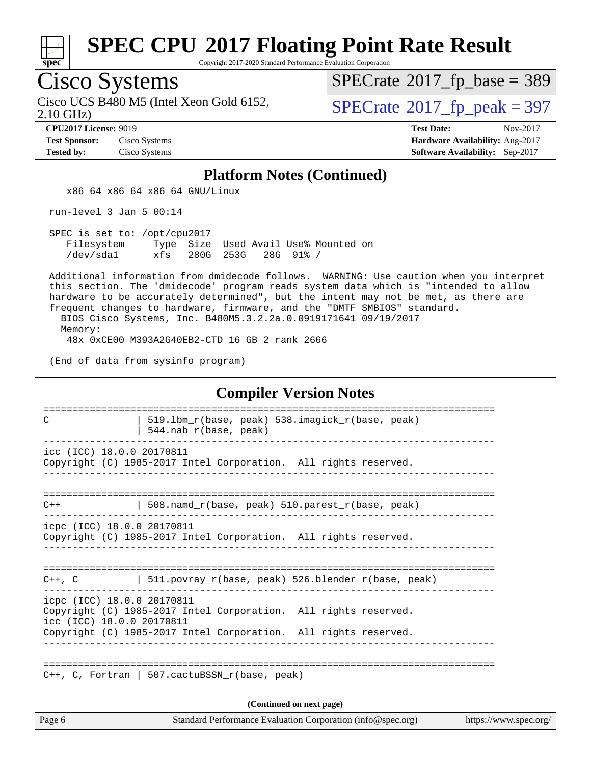

Copyright 2017-2020 Standard Performance Evaluation Corporation

### Cisco Systems

2.10 GHz) Cisco UCS B480 M5 (Intel Xeon Gold 6152,  $\vert$ [SPECrate](http://www.spec.org/auto/cpu2017/Docs/result-fields.html#SPECrate2017fppeak)®[2017\\_fp\\_peak = 3](http://www.spec.org/auto/cpu2017/Docs/result-fields.html#SPECrate2017fppeak)97

 $SPECTate$ <sup>®</sup>[2017\\_fp\\_base =](http://www.spec.org/auto/cpu2017/Docs/result-fields.html#SPECrate2017fpbase) 389

**[Test Sponsor:](http://www.spec.org/auto/cpu2017/Docs/result-fields.html#TestSponsor)** Cisco Systems **[Hardware Availability:](http://www.spec.org/auto/cpu2017/Docs/result-fields.html#HardwareAvailability)** Aug-2017

**[CPU2017 License:](http://www.spec.org/auto/cpu2017/Docs/result-fields.html#CPU2017License)** 9019 **[Test Date:](http://www.spec.org/auto/cpu2017/Docs/result-fields.html#TestDate)** Nov-2017 **[Tested by:](http://www.spec.org/auto/cpu2017/Docs/result-fields.html#Testedby)** Cisco Systems **[Software Availability:](http://www.spec.org/auto/cpu2017/Docs/result-fields.html#SoftwareAvailability)** Sep-2017

#### **[Platform Notes \(Continued\)](http://www.spec.org/auto/cpu2017/Docs/result-fields.html#PlatformNotes)**

x86\_64 x86\_64 x86\_64 GNU/Linux

run-level 3 Jan 5 00:14

 SPEC is set to: /opt/cpu2017 Filesystem Type Size Used Avail Use% Mounted on /dev/sda1 xfs 280G 253G 28G 91% /

 Additional information from dmidecode follows. WARNING: Use caution when you interpret this section. The 'dmidecode' program reads system data which is "intended to allow hardware to be accurately determined", but the intent may not be met, as there are frequent changes to hardware, firmware, and the "DMTF SMBIOS" standard. BIOS Cisco Systems, Inc. B480M5.3.2.2a.0.0919171641 09/19/2017

Memory:

48x 0xCE00 M393A2G40EB2-CTD 16 GB 2 rank 2666

(End of data from sysinfo program)

|                                                         | <b>Compiler Version Notes</b>                                                                       |                       |
|---------------------------------------------------------|-----------------------------------------------------------------------------------------------------|-----------------------|
| C                                                       | =====================<br>519.1bm_r(base, peak) 538.imagick_r(base, peak)<br>$544.nab_r(base, peak)$ |                       |
| icc (ICC) 18.0.0 20170811                               | Copyright (C) 1985-2017 Intel Corporation. All rights reserved.                                     |                       |
| $C++$                                                   | 508.namd $r(base, peak)$ 510.parest $r(base, peak)$                                                 |                       |
| icpc (ICC) 18.0.0 20170811                              | Copyright (C) 1985-2017 Intel Corporation. All rights reserved.                                     |                       |
| $C++$ , $C$                                             | 511.povray r(base, peak) 526.blender r(base, peak)                                                  |                       |
| icpc (ICC) 18.0.0 20170811<br>icc (ICC) 18.0.0 20170811 | Copyright (C) 1985-2017 Intel Corporation. All rights reserved.                                     |                       |
|                                                         | Copyright (C) 1985-2017 Intel Corporation. All rights reserved.                                     |                       |
|                                                         | $C++$ , C, Fortran   507. cactuBSSN r(base, peak)                                                   |                       |
|                                                         | (Continued on next page)                                                                            |                       |
| Page 6                                                  | Standard Performance Evaluation Corporation (info@spec.org)                                         | https://www.spec.org/ |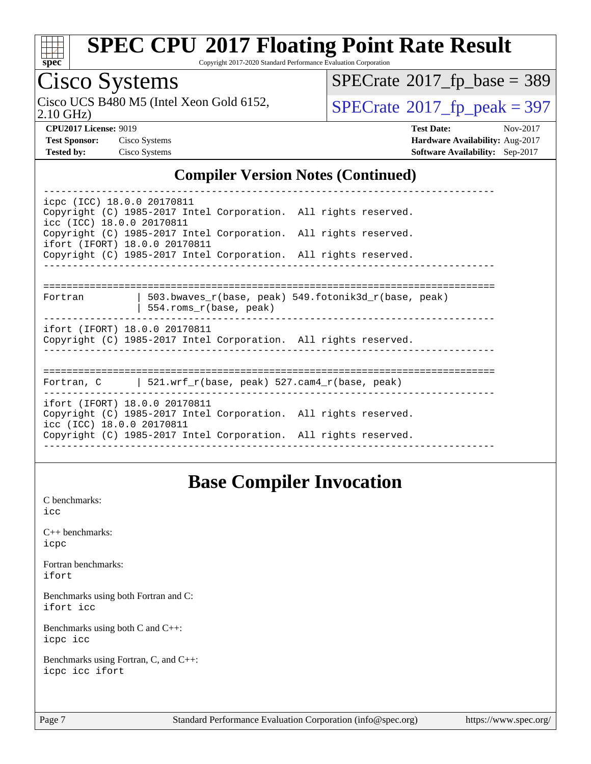

Copyright 2017-2020 Standard Performance Evaluation Corporation

## Cisco Systems

2.10 GHz) Cisco UCS B480 M5 (Intel Xeon Gold 6152,  $\vert$ [SPECrate](http://www.spec.org/auto/cpu2017/Docs/result-fields.html#SPECrate2017fppeak)®[2017\\_fp\\_peak = 3](http://www.spec.org/auto/cpu2017/Docs/result-fields.html#SPECrate2017fppeak)97

 $SPECTate$ <sup>®</sup>[2017\\_fp\\_base =](http://www.spec.org/auto/cpu2017/Docs/result-fields.html#SPECrate2017fpbase) 389

**[CPU2017 License:](http://www.spec.org/auto/cpu2017/Docs/result-fields.html#CPU2017License)** 9019 **[Test Date:](http://www.spec.org/auto/cpu2017/Docs/result-fields.html#TestDate)** Nov-2017 **[Test Sponsor:](http://www.spec.org/auto/cpu2017/Docs/result-fields.html#TestSponsor)** Cisco Systems **[Hardware Availability:](http://www.spec.org/auto/cpu2017/Docs/result-fields.html#HardwareAvailability)** Aug-2017 **[Tested by:](http://www.spec.org/auto/cpu2017/Docs/result-fields.html#Testedby)** Cisco Systems **[Software Availability:](http://www.spec.org/auto/cpu2017/Docs/result-fields.html#SoftwareAvailability)** Sep-2017

#### **[Compiler Version Notes \(Continued\)](http://www.spec.org/auto/cpu2017/Docs/result-fields.html#CompilerVersionNotes)**

----------------------------------------------------------------------------- icpc (ICC) 18.0.0 20170811 Copyright (C) 1985-2017 Intel Corporation. All rights reserved. icc (ICC) 18.0.0 20170811 Copyright (C) 1985-2017 Intel Corporation. All rights reserved. ifort (IFORT) 18.0.0 20170811 Copyright (C) 1985-2017 Intel Corporation. All rights reserved. ------------------------------------------------------------------------------ ============================================================================== Fortran | 503.bwaves\_r(base, peak) 549.fotonik3d\_r(base, peak) | 554.roms\_r(base, peak) ifort (IFORT) 18.0.0 20170811 Copyright (C) 1985-2017 Intel Corporation. All rights reserved. ------------------------------------------------------------------------------ ============================================================================== Fortran, C | 521.wrf\_r(base, peak) 527.cam4\_r(base, peak) ----------------------------------------------------------------------------- ifort (IFORT) 18.0.0 20170811 Copyright (C) 1985-2017 Intel Corporation. All rights reserved. icc (ICC) 18.0.0 20170811 Copyright (C) 1985-2017 Intel Corporation. All rights reserved. ------------------------------------------------------------------------------

### **[Base Compiler Invocation](http://www.spec.org/auto/cpu2017/Docs/result-fields.html#BaseCompilerInvocation)**

[C benchmarks](http://www.spec.org/auto/cpu2017/Docs/result-fields.html#Cbenchmarks): [icc](http://www.spec.org/cpu2017/results/res2017q4/cpu2017-20171128-01352.flags.html#user_CCbase_intel_icc_18.0_66fc1ee009f7361af1fbd72ca7dcefbb700085f36577c54f309893dd4ec40d12360134090235512931783d35fd58c0460139e722d5067c5574d8eaf2b3e37e92)

[C++ benchmarks:](http://www.spec.org/auto/cpu2017/Docs/result-fields.html#CXXbenchmarks) [icpc](http://www.spec.org/cpu2017/results/res2017q4/cpu2017-20171128-01352.flags.html#user_CXXbase_intel_icpc_18.0_c510b6838c7f56d33e37e94d029a35b4a7bccf4766a728ee175e80a419847e808290a9b78be685c44ab727ea267ec2f070ec5dc83b407c0218cded6866a35d07)

[Fortran benchmarks](http://www.spec.org/auto/cpu2017/Docs/result-fields.html#Fortranbenchmarks): [ifort](http://www.spec.org/cpu2017/results/res2017q4/cpu2017-20171128-01352.flags.html#user_FCbase_intel_ifort_18.0_8111460550e3ca792625aed983ce982f94888b8b503583aa7ba2b8303487b4d8a21a13e7191a45c5fd58ff318f48f9492884d4413fa793fd88dd292cad7027ca)

[Benchmarks using both Fortran and C](http://www.spec.org/auto/cpu2017/Docs/result-fields.html#BenchmarksusingbothFortranandC): [ifort](http://www.spec.org/cpu2017/results/res2017q4/cpu2017-20171128-01352.flags.html#user_CC_FCbase_intel_ifort_18.0_8111460550e3ca792625aed983ce982f94888b8b503583aa7ba2b8303487b4d8a21a13e7191a45c5fd58ff318f48f9492884d4413fa793fd88dd292cad7027ca) [icc](http://www.spec.org/cpu2017/results/res2017q4/cpu2017-20171128-01352.flags.html#user_CC_FCbase_intel_icc_18.0_66fc1ee009f7361af1fbd72ca7dcefbb700085f36577c54f309893dd4ec40d12360134090235512931783d35fd58c0460139e722d5067c5574d8eaf2b3e37e92)

[Benchmarks using both C and C++](http://www.spec.org/auto/cpu2017/Docs/result-fields.html#BenchmarksusingbothCandCXX): [icpc](http://www.spec.org/cpu2017/results/res2017q4/cpu2017-20171128-01352.flags.html#user_CC_CXXbase_intel_icpc_18.0_c510b6838c7f56d33e37e94d029a35b4a7bccf4766a728ee175e80a419847e808290a9b78be685c44ab727ea267ec2f070ec5dc83b407c0218cded6866a35d07) [icc](http://www.spec.org/cpu2017/results/res2017q4/cpu2017-20171128-01352.flags.html#user_CC_CXXbase_intel_icc_18.0_66fc1ee009f7361af1fbd72ca7dcefbb700085f36577c54f309893dd4ec40d12360134090235512931783d35fd58c0460139e722d5067c5574d8eaf2b3e37e92)

[Benchmarks using Fortran, C, and C++:](http://www.spec.org/auto/cpu2017/Docs/result-fields.html#BenchmarksusingFortranCandCXX) [icpc](http://www.spec.org/cpu2017/results/res2017q4/cpu2017-20171128-01352.flags.html#user_CC_CXX_FCbase_intel_icpc_18.0_c510b6838c7f56d33e37e94d029a35b4a7bccf4766a728ee175e80a419847e808290a9b78be685c44ab727ea267ec2f070ec5dc83b407c0218cded6866a35d07) [icc](http://www.spec.org/cpu2017/results/res2017q4/cpu2017-20171128-01352.flags.html#user_CC_CXX_FCbase_intel_icc_18.0_66fc1ee009f7361af1fbd72ca7dcefbb700085f36577c54f309893dd4ec40d12360134090235512931783d35fd58c0460139e722d5067c5574d8eaf2b3e37e92) [ifort](http://www.spec.org/cpu2017/results/res2017q4/cpu2017-20171128-01352.flags.html#user_CC_CXX_FCbase_intel_ifort_18.0_8111460550e3ca792625aed983ce982f94888b8b503583aa7ba2b8303487b4d8a21a13e7191a45c5fd58ff318f48f9492884d4413fa793fd88dd292cad7027ca)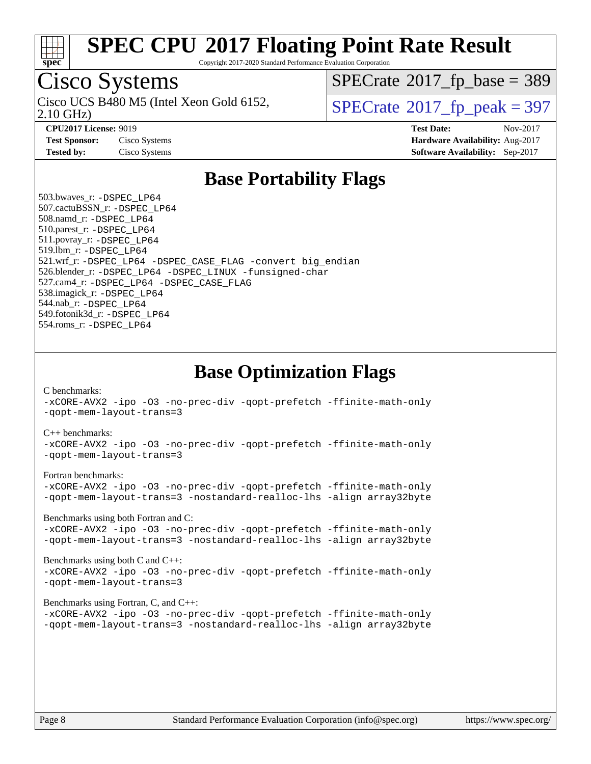

Copyright 2017-2020 Standard Performance Evaluation Corporation

### Cisco Systems

2.10 GHz) Cisco UCS B480 M5 (Intel Xeon Gold 6152,  $\vert$ [SPECrate](http://www.spec.org/auto/cpu2017/Docs/result-fields.html#SPECrate2017fppeak)®[2017\\_fp\\_peak = 3](http://www.spec.org/auto/cpu2017/Docs/result-fields.html#SPECrate2017fppeak)97

 $SPECTate$ <sup>®</sup>[2017\\_fp\\_base =](http://www.spec.org/auto/cpu2017/Docs/result-fields.html#SPECrate2017fpbase) 389

**[CPU2017 License:](http://www.spec.org/auto/cpu2017/Docs/result-fields.html#CPU2017License)** 9019 **[Test Date:](http://www.spec.org/auto/cpu2017/Docs/result-fields.html#TestDate)** Nov-2017 **[Test Sponsor:](http://www.spec.org/auto/cpu2017/Docs/result-fields.html#TestSponsor)** Cisco Systems **[Hardware Availability:](http://www.spec.org/auto/cpu2017/Docs/result-fields.html#HardwareAvailability)** Aug-2017 **[Tested by:](http://www.spec.org/auto/cpu2017/Docs/result-fields.html#Testedby)** Cisco Systems **[Software Availability:](http://www.spec.org/auto/cpu2017/Docs/result-fields.html#SoftwareAvailability)** Sep-2017

### **[Base Portability Flags](http://www.spec.org/auto/cpu2017/Docs/result-fields.html#BasePortabilityFlags)**

 503.bwaves\_r: [-DSPEC\\_LP64](http://www.spec.org/cpu2017/results/res2017q4/cpu2017-20171128-01352.flags.html#suite_basePORTABILITY503_bwaves_r_DSPEC_LP64) 507.cactuBSSN\_r: [-DSPEC\\_LP64](http://www.spec.org/cpu2017/results/res2017q4/cpu2017-20171128-01352.flags.html#suite_basePORTABILITY507_cactuBSSN_r_DSPEC_LP64) 508.namd\_r: [-DSPEC\\_LP64](http://www.spec.org/cpu2017/results/res2017q4/cpu2017-20171128-01352.flags.html#suite_basePORTABILITY508_namd_r_DSPEC_LP64) 510.parest\_r: [-DSPEC\\_LP64](http://www.spec.org/cpu2017/results/res2017q4/cpu2017-20171128-01352.flags.html#suite_basePORTABILITY510_parest_r_DSPEC_LP64) 511.povray\_r: [-DSPEC\\_LP64](http://www.spec.org/cpu2017/results/res2017q4/cpu2017-20171128-01352.flags.html#suite_basePORTABILITY511_povray_r_DSPEC_LP64) 519.lbm\_r: [-DSPEC\\_LP64](http://www.spec.org/cpu2017/results/res2017q4/cpu2017-20171128-01352.flags.html#suite_basePORTABILITY519_lbm_r_DSPEC_LP64) 521.wrf\_r: [-DSPEC\\_LP64](http://www.spec.org/cpu2017/results/res2017q4/cpu2017-20171128-01352.flags.html#suite_basePORTABILITY521_wrf_r_DSPEC_LP64) [-DSPEC\\_CASE\\_FLAG](http://www.spec.org/cpu2017/results/res2017q4/cpu2017-20171128-01352.flags.html#b521.wrf_r_baseCPORTABILITY_DSPEC_CASE_FLAG) [-convert big\\_endian](http://www.spec.org/cpu2017/results/res2017q4/cpu2017-20171128-01352.flags.html#user_baseFPORTABILITY521_wrf_r_convert_big_endian_c3194028bc08c63ac5d04de18c48ce6d347e4e562e8892b8bdbdc0214820426deb8554edfa529a3fb25a586e65a3d812c835984020483e7e73212c4d31a38223) 526.blender\_r: [-DSPEC\\_LP64](http://www.spec.org/cpu2017/results/res2017q4/cpu2017-20171128-01352.flags.html#suite_basePORTABILITY526_blender_r_DSPEC_LP64) [-DSPEC\\_LINUX](http://www.spec.org/cpu2017/results/res2017q4/cpu2017-20171128-01352.flags.html#b526.blender_r_baseCPORTABILITY_DSPEC_LINUX) [-funsigned-char](http://www.spec.org/cpu2017/results/res2017q4/cpu2017-20171128-01352.flags.html#user_baseCPORTABILITY526_blender_r_force_uchar_40c60f00ab013830e2dd6774aeded3ff59883ba5a1fc5fc14077f794d777847726e2a5858cbc7672e36e1b067e7e5c1d9a74f7176df07886a243d7cc18edfe67) 527.cam4\_r: [-DSPEC\\_LP64](http://www.spec.org/cpu2017/results/res2017q4/cpu2017-20171128-01352.flags.html#suite_basePORTABILITY527_cam4_r_DSPEC_LP64) [-DSPEC\\_CASE\\_FLAG](http://www.spec.org/cpu2017/results/res2017q4/cpu2017-20171128-01352.flags.html#b527.cam4_r_baseCPORTABILITY_DSPEC_CASE_FLAG) 538.imagick\_r: [-DSPEC\\_LP64](http://www.spec.org/cpu2017/results/res2017q4/cpu2017-20171128-01352.flags.html#suite_basePORTABILITY538_imagick_r_DSPEC_LP64) 544.nab\_r: [-DSPEC\\_LP64](http://www.spec.org/cpu2017/results/res2017q4/cpu2017-20171128-01352.flags.html#suite_basePORTABILITY544_nab_r_DSPEC_LP64) 549.fotonik3d\_r: [-DSPEC\\_LP64](http://www.spec.org/cpu2017/results/res2017q4/cpu2017-20171128-01352.flags.html#suite_basePORTABILITY549_fotonik3d_r_DSPEC_LP64) 554.roms\_r: [-DSPEC\\_LP64](http://www.spec.org/cpu2017/results/res2017q4/cpu2017-20171128-01352.flags.html#suite_basePORTABILITY554_roms_r_DSPEC_LP64)

**[Base Optimization Flags](http://www.spec.org/auto/cpu2017/Docs/result-fields.html#BaseOptimizationFlags)**

[C benchmarks](http://www.spec.org/auto/cpu2017/Docs/result-fields.html#Cbenchmarks):

[-xCORE-AVX2](http://www.spec.org/cpu2017/results/res2017q4/cpu2017-20171128-01352.flags.html#user_CCbase_f-xCORE-AVX2) [-ipo](http://www.spec.org/cpu2017/results/res2017q4/cpu2017-20171128-01352.flags.html#user_CCbase_f-ipo) [-O3](http://www.spec.org/cpu2017/results/res2017q4/cpu2017-20171128-01352.flags.html#user_CCbase_f-O3) [-no-prec-div](http://www.spec.org/cpu2017/results/res2017q4/cpu2017-20171128-01352.flags.html#user_CCbase_f-no-prec-div) [-qopt-prefetch](http://www.spec.org/cpu2017/results/res2017q4/cpu2017-20171128-01352.flags.html#user_CCbase_f-qopt-prefetch) [-ffinite-math-only](http://www.spec.org/cpu2017/results/res2017q4/cpu2017-20171128-01352.flags.html#user_CCbase_f_finite_math_only_cb91587bd2077682c4b38af759c288ed7c732db004271a9512da14a4f8007909a5f1427ecbf1a0fb78ff2a814402c6114ac565ca162485bbcae155b5e4258871) [-qopt-mem-layout-trans=3](http://www.spec.org/cpu2017/results/res2017q4/cpu2017-20171128-01352.flags.html#user_CCbase_f-qopt-mem-layout-trans_de80db37974c74b1f0e20d883f0b675c88c3b01e9d123adea9b28688d64333345fb62bc4a798493513fdb68f60282f9a726aa07f478b2f7113531aecce732043)

#### [C++ benchmarks:](http://www.spec.org/auto/cpu2017/Docs/result-fields.html#CXXbenchmarks)

[-xCORE-AVX2](http://www.spec.org/cpu2017/results/res2017q4/cpu2017-20171128-01352.flags.html#user_CXXbase_f-xCORE-AVX2) [-ipo](http://www.spec.org/cpu2017/results/res2017q4/cpu2017-20171128-01352.flags.html#user_CXXbase_f-ipo) [-O3](http://www.spec.org/cpu2017/results/res2017q4/cpu2017-20171128-01352.flags.html#user_CXXbase_f-O3) [-no-prec-div](http://www.spec.org/cpu2017/results/res2017q4/cpu2017-20171128-01352.flags.html#user_CXXbase_f-no-prec-div) [-qopt-prefetch](http://www.spec.org/cpu2017/results/res2017q4/cpu2017-20171128-01352.flags.html#user_CXXbase_f-qopt-prefetch) [-ffinite-math-only](http://www.spec.org/cpu2017/results/res2017q4/cpu2017-20171128-01352.flags.html#user_CXXbase_f_finite_math_only_cb91587bd2077682c4b38af759c288ed7c732db004271a9512da14a4f8007909a5f1427ecbf1a0fb78ff2a814402c6114ac565ca162485bbcae155b5e4258871) [-qopt-mem-layout-trans=3](http://www.spec.org/cpu2017/results/res2017q4/cpu2017-20171128-01352.flags.html#user_CXXbase_f-qopt-mem-layout-trans_de80db37974c74b1f0e20d883f0b675c88c3b01e9d123adea9b28688d64333345fb62bc4a798493513fdb68f60282f9a726aa07f478b2f7113531aecce732043)

#### [Fortran benchmarks](http://www.spec.org/auto/cpu2017/Docs/result-fields.html#Fortranbenchmarks):

[-xCORE-AVX2](http://www.spec.org/cpu2017/results/res2017q4/cpu2017-20171128-01352.flags.html#user_FCbase_f-xCORE-AVX2) [-ipo](http://www.spec.org/cpu2017/results/res2017q4/cpu2017-20171128-01352.flags.html#user_FCbase_f-ipo) [-O3](http://www.spec.org/cpu2017/results/res2017q4/cpu2017-20171128-01352.flags.html#user_FCbase_f-O3) [-no-prec-div](http://www.spec.org/cpu2017/results/res2017q4/cpu2017-20171128-01352.flags.html#user_FCbase_f-no-prec-div) [-qopt-prefetch](http://www.spec.org/cpu2017/results/res2017q4/cpu2017-20171128-01352.flags.html#user_FCbase_f-qopt-prefetch) [-ffinite-math-only](http://www.spec.org/cpu2017/results/res2017q4/cpu2017-20171128-01352.flags.html#user_FCbase_f_finite_math_only_cb91587bd2077682c4b38af759c288ed7c732db004271a9512da14a4f8007909a5f1427ecbf1a0fb78ff2a814402c6114ac565ca162485bbcae155b5e4258871) [-qopt-mem-layout-trans=3](http://www.spec.org/cpu2017/results/res2017q4/cpu2017-20171128-01352.flags.html#user_FCbase_f-qopt-mem-layout-trans_de80db37974c74b1f0e20d883f0b675c88c3b01e9d123adea9b28688d64333345fb62bc4a798493513fdb68f60282f9a726aa07f478b2f7113531aecce732043) [-nostandard-realloc-lhs](http://www.spec.org/cpu2017/results/res2017q4/cpu2017-20171128-01352.flags.html#user_FCbase_f_2003_std_realloc_82b4557e90729c0f113870c07e44d33d6f5a304b4f63d4c15d2d0f1fab99f5daaed73bdb9275d9ae411527f28b936061aa8b9c8f2d63842963b95c9dd6426b8a) [-align array32byte](http://www.spec.org/cpu2017/results/res2017q4/cpu2017-20171128-01352.flags.html#user_FCbase_align_array32byte_b982fe038af199962ba9a80c053b8342c548c85b40b8e86eb3cc33dee0d7986a4af373ac2d51c3f7cf710a18d62fdce2948f201cd044323541f22fc0fffc51b6)

[Benchmarks using both Fortran and C](http://www.spec.org/auto/cpu2017/Docs/result-fields.html#BenchmarksusingbothFortranandC):

[-xCORE-AVX2](http://www.spec.org/cpu2017/results/res2017q4/cpu2017-20171128-01352.flags.html#user_CC_FCbase_f-xCORE-AVX2) [-ipo](http://www.spec.org/cpu2017/results/res2017q4/cpu2017-20171128-01352.flags.html#user_CC_FCbase_f-ipo) [-O3](http://www.spec.org/cpu2017/results/res2017q4/cpu2017-20171128-01352.flags.html#user_CC_FCbase_f-O3) [-no-prec-div](http://www.spec.org/cpu2017/results/res2017q4/cpu2017-20171128-01352.flags.html#user_CC_FCbase_f-no-prec-div) [-qopt-prefetch](http://www.spec.org/cpu2017/results/res2017q4/cpu2017-20171128-01352.flags.html#user_CC_FCbase_f-qopt-prefetch) [-ffinite-math-only](http://www.spec.org/cpu2017/results/res2017q4/cpu2017-20171128-01352.flags.html#user_CC_FCbase_f_finite_math_only_cb91587bd2077682c4b38af759c288ed7c732db004271a9512da14a4f8007909a5f1427ecbf1a0fb78ff2a814402c6114ac565ca162485bbcae155b5e4258871) [-qopt-mem-layout-trans=3](http://www.spec.org/cpu2017/results/res2017q4/cpu2017-20171128-01352.flags.html#user_CC_FCbase_f-qopt-mem-layout-trans_de80db37974c74b1f0e20d883f0b675c88c3b01e9d123adea9b28688d64333345fb62bc4a798493513fdb68f60282f9a726aa07f478b2f7113531aecce732043) [-nostandard-realloc-lhs](http://www.spec.org/cpu2017/results/res2017q4/cpu2017-20171128-01352.flags.html#user_CC_FCbase_f_2003_std_realloc_82b4557e90729c0f113870c07e44d33d6f5a304b4f63d4c15d2d0f1fab99f5daaed73bdb9275d9ae411527f28b936061aa8b9c8f2d63842963b95c9dd6426b8a) [-align array32byte](http://www.spec.org/cpu2017/results/res2017q4/cpu2017-20171128-01352.flags.html#user_CC_FCbase_align_array32byte_b982fe038af199962ba9a80c053b8342c548c85b40b8e86eb3cc33dee0d7986a4af373ac2d51c3f7cf710a18d62fdce2948f201cd044323541f22fc0fffc51b6)

[Benchmarks using both C and C++](http://www.spec.org/auto/cpu2017/Docs/result-fields.html#BenchmarksusingbothCandCXX): [-xCORE-AVX2](http://www.spec.org/cpu2017/results/res2017q4/cpu2017-20171128-01352.flags.html#user_CC_CXXbase_f-xCORE-AVX2) [-ipo](http://www.spec.org/cpu2017/results/res2017q4/cpu2017-20171128-01352.flags.html#user_CC_CXXbase_f-ipo) [-O3](http://www.spec.org/cpu2017/results/res2017q4/cpu2017-20171128-01352.flags.html#user_CC_CXXbase_f-O3) [-no-prec-div](http://www.spec.org/cpu2017/results/res2017q4/cpu2017-20171128-01352.flags.html#user_CC_CXXbase_f-no-prec-div) [-qopt-prefetch](http://www.spec.org/cpu2017/results/res2017q4/cpu2017-20171128-01352.flags.html#user_CC_CXXbase_f-qopt-prefetch) [-ffinite-math-only](http://www.spec.org/cpu2017/results/res2017q4/cpu2017-20171128-01352.flags.html#user_CC_CXXbase_f_finite_math_only_cb91587bd2077682c4b38af759c288ed7c732db004271a9512da14a4f8007909a5f1427ecbf1a0fb78ff2a814402c6114ac565ca162485bbcae155b5e4258871) [-qopt-mem-layout-trans=3](http://www.spec.org/cpu2017/results/res2017q4/cpu2017-20171128-01352.flags.html#user_CC_CXXbase_f-qopt-mem-layout-trans_de80db37974c74b1f0e20d883f0b675c88c3b01e9d123adea9b28688d64333345fb62bc4a798493513fdb68f60282f9a726aa07f478b2f7113531aecce732043)

#### [Benchmarks using Fortran, C, and C++:](http://www.spec.org/auto/cpu2017/Docs/result-fields.html#BenchmarksusingFortranCandCXX)

[-xCORE-AVX2](http://www.spec.org/cpu2017/results/res2017q4/cpu2017-20171128-01352.flags.html#user_CC_CXX_FCbase_f-xCORE-AVX2) [-ipo](http://www.spec.org/cpu2017/results/res2017q4/cpu2017-20171128-01352.flags.html#user_CC_CXX_FCbase_f-ipo) [-O3](http://www.spec.org/cpu2017/results/res2017q4/cpu2017-20171128-01352.flags.html#user_CC_CXX_FCbase_f-O3) [-no-prec-div](http://www.spec.org/cpu2017/results/res2017q4/cpu2017-20171128-01352.flags.html#user_CC_CXX_FCbase_f-no-prec-div) [-qopt-prefetch](http://www.spec.org/cpu2017/results/res2017q4/cpu2017-20171128-01352.flags.html#user_CC_CXX_FCbase_f-qopt-prefetch) [-ffinite-math-only](http://www.spec.org/cpu2017/results/res2017q4/cpu2017-20171128-01352.flags.html#user_CC_CXX_FCbase_f_finite_math_only_cb91587bd2077682c4b38af759c288ed7c732db004271a9512da14a4f8007909a5f1427ecbf1a0fb78ff2a814402c6114ac565ca162485bbcae155b5e4258871) [-qopt-mem-layout-trans=3](http://www.spec.org/cpu2017/results/res2017q4/cpu2017-20171128-01352.flags.html#user_CC_CXX_FCbase_f-qopt-mem-layout-trans_de80db37974c74b1f0e20d883f0b675c88c3b01e9d123adea9b28688d64333345fb62bc4a798493513fdb68f60282f9a726aa07f478b2f7113531aecce732043) [-nostandard-realloc-lhs](http://www.spec.org/cpu2017/results/res2017q4/cpu2017-20171128-01352.flags.html#user_CC_CXX_FCbase_f_2003_std_realloc_82b4557e90729c0f113870c07e44d33d6f5a304b4f63d4c15d2d0f1fab99f5daaed73bdb9275d9ae411527f28b936061aa8b9c8f2d63842963b95c9dd6426b8a) [-align array32byte](http://www.spec.org/cpu2017/results/res2017q4/cpu2017-20171128-01352.flags.html#user_CC_CXX_FCbase_align_array32byte_b982fe038af199962ba9a80c053b8342c548c85b40b8e86eb3cc33dee0d7986a4af373ac2d51c3f7cf710a18d62fdce2948f201cd044323541f22fc0fffc51b6)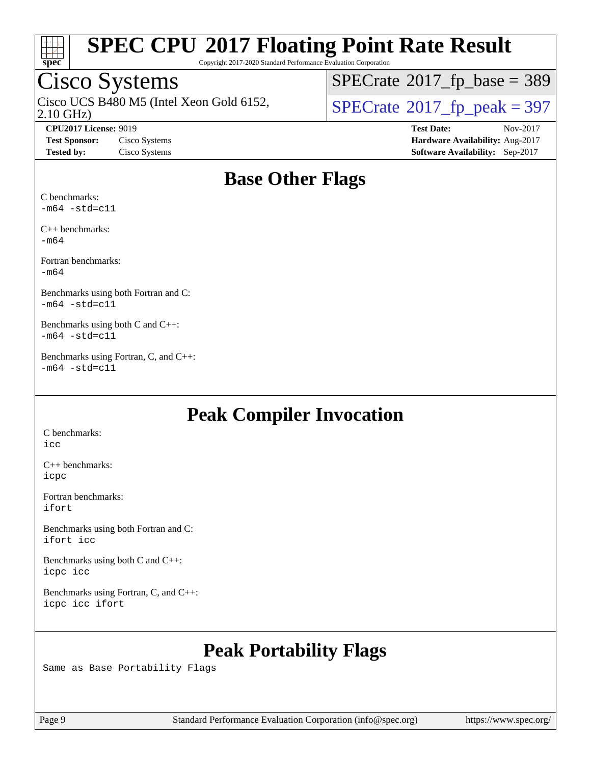

Copyright 2017-2020 Standard Performance Evaluation Corporation

## Cisco Systems

2.10 GHz) Cisco UCS B480 M5 (Intel Xeon Gold 6152,  $\vert$ [SPECrate](http://www.spec.org/auto/cpu2017/Docs/result-fields.html#SPECrate2017fppeak)®[2017\\_fp\\_peak = 3](http://www.spec.org/auto/cpu2017/Docs/result-fields.html#SPECrate2017fppeak)97

 $SPECTate$ <sup>®</sup>[2017\\_fp\\_base =](http://www.spec.org/auto/cpu2017/Docs/result-fields.html#SPECrate2017fpbase) 389

**[Tested by:](http://www.spec.org/auto/cpu2017/Docs/result-fields.html#Testedby)** Cisco Systems **[Software Availability:](http://www.spec.org/auto/cpu2017/Docs/result-fields.html#SoftwareAvailability)** Sep-2017

**[CPU2017 License:](http://www.spec.org/auto/cpu2017/Docs/result-fields.html#CPU2017License)** 9019 **[Test Date:](http://www.spec.org/auto/cpu2017/Docs/result-fields.html#TestDate)** Nov-2017 **[Test Sponsor:](http://www.spec.org/auto/cpu2017/Docs/result-fields.html#TestSponsor)** Cisco Systems **[Hardware Availability:](http://www.spec.org/auto/cpu2017/Docs/result-fields.html#HardwareAvailability)** Aug-2017

### **[Base Other Flags](http://www.spec.org/auto/cpu2017/Docs/result-fields.html#BaseOtherFlags)**

[C benchmarks:](http://www.spec.org/auto/cpu2017/Docs/result-fields.html#Cbenchmarks)  $-m64$   $-std=cl1$ 

[C++ benchmarks:](http://www.spec.org/auto/cpu2017/Docs/result-fields.html#CXXbenchmarks) [-m64](http://www.spec.org/cpu2017/results/res2017q4/cpu2017-20171128-01352.flags.html#user_CXXbase_intel_intel64_18.0_af43caccfc8ded86e7699f2159af6efc7655f51387b94da716254467f3c01020a5059329e2569e4053f409e7c9202a7efc638f7a6d1ffb3f52dea4a3e31d82ab)

[Fortran benchmarks](http://www.spec.org/auto/cpu2017/Docs/result-fields.html#Fortranbenchmarks): [-m64](http://www.spec.org/cpu2017/results/res2017q4/cpu2017-20171128-01352.flags.html#user_FCbase_intel_intel64_18.0_af43caccfc8ded86e7699f2159af6efc7655f51387b94da716254467f3c01020a5059329e2569e4053f409e7c9202a7efc638f7a6d1ffb3f52dea4a3e31d82ab)

[Benchmarks using both Fortran and C:](http://www.spec.org/auto/cpu2017/Docs/result-fields.html#BenchmarksusingbothFortranandC)  $-m64$   $-std=cl1$ 

[Benchmarks using both C and C++](http://www.spec.org/auto/cpu2017/Docs/result-fields.html#BenchmarksusingbothCandCXX):  $-m64$   $-std=cl1$ 

[Benchmarks using Fortran, C, and C++:](http://www.spec.org/auto/cpu2017/Docs/result-fields.html#BenchmarksusingFortranCandCXX)  $-m64 - std = c11$  $-m64 - std = c11$ 

### **[Peak Compiler Invocation](http://www.spec.org/auto/cpu2017/Docs/result-fields.html#PeakCompilerInvocation)**

[C benchmarks](http://www.spec.org/auto/cpu2017/Docs/result-fields.html#Cbenchmarks): [icc](http://www.spec.org/cpu2017/results/res2017q4/cpu2017-20171128-01352.flags.html#user_CCpeak_intel_icc_18.0_66fc1ee009f7361af1fbd72ca7dcefbb700085f36577c54f309893dd4ec40d12360134090235512931783d35fd58c0460139e722d5067c5574d8eaf2b3e37e92)

[C++ benchmarks:](http://www.spec.org/auto/cpu2017/Docs/result-fields.html#CXXbenchmarks) [icpc](http://www.spec.org/cpu2017/results/res2017q4/cpu2017-20171128-01352.flags.html#user_CXXpeak_intel_icpc_18.0_c510b6838c7f56d33e37e94d029a35b4a7bccf4766a728ee175e80a419847e808290a9b78be685c44ab727ea267ec2f070ec5dc83b407c0218cded6866a35d07)

[Fortran benchmarks](http://www.spec.org/auto/cpu2017/Docs/result-fields.html#Fortranbenchmarks): [ifort](http://www.spec.org/cpu2017/results/res2017q4/cpu2017-20171128-01352.flags.html#user_FCpeak_intel_ifort_18.0_8111460550e3ca792625aed983ce982f94888b8b503583aa7ba2b8303487b4d8a21a13e7191a45c5fd58ff318f48f9492884d4413fa793fd88dd292cad7027ca)

[Benchmarks using both Fortran and C](http://www.spec.org/auto/cpu2017/Docs/result-fields.html#BenchmarksusingbothFortranandC): [ifort](http://www.spec.org/cpu2017/results/res2017q4/cpu2017-20171128-01352.flags.html#user_CC_FCpeak_intel_ifort_18.0_8111460550e3ca792625aed983ce982f94888b8b503583aa7ba2b8303487b4d8a21a13e7191a45c5fd58ff318f48f9492884d4413fa793fd88dd292cad7027ca) [icc](http://www.spec.org/cpu2017/results/res2017q4/cpu2017-20171128-01352.flags.html#user_CC_FCpeak_intel_icc_18.0_66fc1ee009f7361af1fbd72ca7dcefbb700085f36577c54f309893dd4ec40d12360134090235512931783d35fd58c0460139e722d5067c5574d8eaf2b3e37e92)

[Benchmarks using both C and C++](http://www.spec.org/auto/cpu2017/Docs/result-fields.html#BenchmarksusingbothCandCXX): [icpc](http://www.spec.org/cpu2017/results/res2017q4/cpu2017-20171128-01352.flags.html#user_CC_CXXpeak_intel_icpc_18.0_c510b6838c7f56d33e37e94d029a35b4a7bccf4766a728ee175e80a419847e808290a9b78be685c44ab727ea267ec2f070ec5dc83b407c0218cded6866a35d07) [icc](http://www.spec.org/cpu2017/results/res2017q4/cpu2017-20171128-01352.flags.html#user_CC_CXXpeak_intel_icc_18.0_66fc1ee009f7361af1fbd72ca7dcefbb700085f36577c54f309893dd4ec40d12360134090235512931783d35fd58c0460139e722d5067c5574d8eaf2b3e37e92)

[Benchmarks using Fortran, C, and C++:](http://www.spec.org/auto/cpu2017/Docs/result-fields.html#BenchmarksusingFortranCandCXX) [icpc](http://www.spec.org/cpu2017/results/res2017q4/cpu2017-20171128-01352.flags.html#user_CC_CXX_FCpeak_intel_icpc_18.0_c510b6838c7f56d33e37e94d029a35b4a7bccf4766a728ee175e80a419847e808290a9b78be685c44ab727ea267ec2f070ec5dc83b407c0218cded6866a35d07) [icc](http://www.spec.org/cpu2017/results/res2017q4/cpu2017-20171128-01352.flags.html#user_CC_CXX_FCpeak_intel_icc_18.0_66fc1ee009f7361af1fbd72ca7dcefbb700085f36577c54f309893dd4ec40d12360134090235512931783d35fd58c0460139e722d5067c5574d8eaf2b3e37e92) [ifort](http://www.spec.org/cpu2017/results/res2017q4/cpu2017-20171128-01352.flags.html#user_CC_CXX_FCpeak_intel_ifort_18.0_8111460550e3ca792625aed983ce982f94888b8b503583aa7ba2b8303487b4d8a21a13e7191a45c5fd58ff318f48f9492884d4413fa793fd88dd292cad7027ca)

### **[Peak Portability Flags](http://www.spec.org/auto/cpu2017/Docs/result-fields.html#PeakPortabilityFlags)**

Same as Base Portability Flags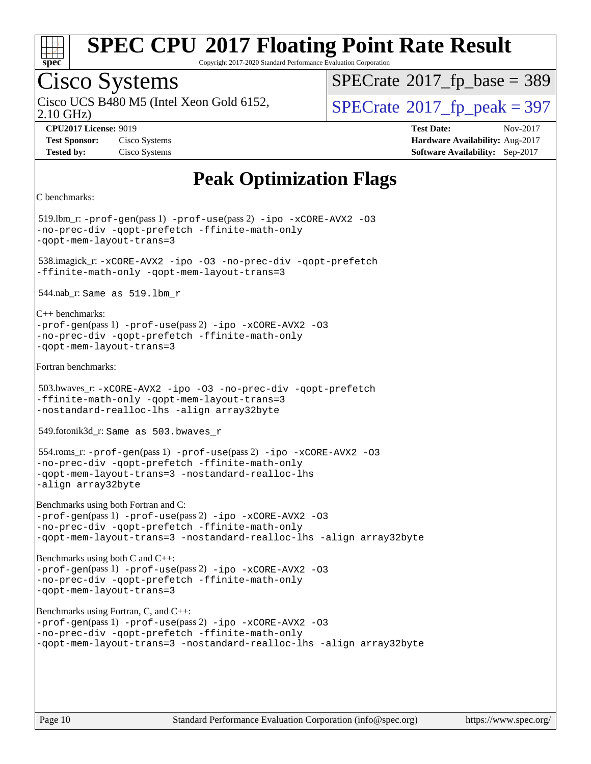

Copyright 2017-2020 Standard Performance Evaluation Corporation

### Cisco Systems

Cisco UCS B480 M5 (Intel Xeon Gold 6152,  $\vert$ [SPECrate](http://www.spec.org/auto/cpu2017/Docs/result-fields.html#SPECrate2017fppeak)®[2017\\_fp\\_peak = 3](http://www.spec.org/auto/cpu2017/Docs/result-fields.html#SPECrate2017fppeak)97

 $SPECTate$ <sup>®</sup>[2017\\_fp\\_base =](http://www.spec.org/auto/cpu2017/Docs/result-fields.html#SPECrate2017fpbase) 389

2.10 GHz)

**[CPU2017 License:](http://www.spec.org/auto/cpu2017/Docs/result-fields.html#CPU2017License)** 9019 **[Test Date:](http://www.spec.org/auto/cpu2017/Docs/result-fields.html#TestDate)** Nov-2017 **[Test Sponsor:](http://www.spec.org/auto/cpu2017/Docs/result-fields.html#TestSponsor)** Cisco Systems **[Hardware Availability:](http://www.spec.org/auto/cpu2017/Docs/result-fields.html#HardwareAvailability)** Aug-2017 **[Tested by:](http://www.spec.org/auto/cpu2017/Docs/result-fields.html#Testedby)** Cisco Systems **[Software Availability:](http://www.spec.org/auto/cpu2017/Docs/result-fields.html#SoftwareAvailability)** Sep-2017

### **[Peak Optimization Flags](http://www.spec.org/auto/cpu2017/Docs/result-fields.html#PeakOptimizationFlags)**

[C benchmarks](http://www.spec.org/auto/cpu2017/Docs/result-fields.html#Cbenchmarks):

519.lbm\_r:  $-prof-qen(pass 1) -prof-use(pass 2) -ipo -xCORE-AVX2 -O3$  $-prof-qen(pass 1) -prof-use(pass 2) -ipo -xCORE-AVX2 -O3$  $-prof-qen(pass 1) -prof-use(pass 2) -ipo -xCORE-AVX2 -O3$  $-prof-qen(pass 1) -prof-use(pass 2) -ipo -xCORE-AVX2 -O3$  $-prof-qen(pass 1) -prof-use(pass 2) -ipo -xCORE-AVX2 -O3$  $-prof-qen(pass 1) -prof-use(pass 2) -ipo -xCORE-AVX2 -O3$  $-prof-qen(pass 1) -prof-use(pass 2) -ipo -xCORE-AVX2 -O3$  $-prof-qen(pass 1) -prof-use(pass 2) -ipo -xCORE-AVX2 -O3$ [-no-prec-div](http://www.spec.org/cpu2017/results/res2017q4/cpu2017-20171128-01352.flags.html#user_peakPASS1_COPTIMIZEPASS2_COPTIMIZE519_lbm_r_f-no-prec-div) [-qopt-prefetch](http://www.spec.org/cpu2017/results/res2017q4/cpu2017-20171128-01352.flags.html#user_peakPASS1_COPTIMIZEPASS2_COPTIMIZE519_lbm_r_f-qopt-prefetch) [-ffinite-math-only](http://www.spec.org/cpu2017/results/res2017q4/cpu2017-20171128-01352.flags.html#user_peakPASS1_COPTIMIZEPASS2_COPTIMIZE519_lbm_r_f_finite_math_only_cb91587bd2077682c4b38af759c288ed7c732db004271a9512da14a4f8007909a5f1427ecbf1a0fb78ff2a814402c6114ac565ca162485bbcae155b5e4258871) [-qopt-mem-layout-trans=3](http://www.spec.org/cpu2017/results/res2017q4/cpu2017-20171128-01352.flags.html#user_peakPASS1_COPTIMIZEPASS2_COPTIMIZE519_lbm_r_f-qopt-mem-layout-trans_de80db37974c74b1f0e20d883f0b675c88c3b01e9d123adea9b28688d64333345fb62bc4a798493513fdb68f60282f9a726aa07f478b2f7113531aecce732043) 538.imagick\_r: [-xCORE-AVX2](http://www.spec.org/cpu2017/results/res2017q4/cpu2017-20171128-01352.flags.html#user_peakCOPTIMIZE538_imagick_r_f-xCORE-AVX2) [-ipo](http://www.spec.org/cpu2017/results/res2017q4/cpu2017-20171128-01352.flags.html#user_peakCOPTIMIZE538_imagick_r_f-ipo) [-O3](http://www.spec.org/cpu2017/results/res2017q4/cpu2017-20171128-01352.flags.html#user_peakCOPTIMIZE538_imagick_r_f-O3) [-no-prec-div](http://www.spec.org/cpu2017/results/res2017q4/cpu2017-20171128-01352.flags.html#user_peakCOPTIMIZE538_imagick_r_f-no-prec-div) [-qopt-prefetch](http://www.spec.org/cpu2017/results/res2017q4/cpu2017-20171128-01352.flags.html#user_peakCOPTIMIZE538_imagick_r_f-qopt-prefetch) [-ffinite-math-only](http://www.spec.org/cpu2017/results/res2017q4/cpu2017-20171128-01352.flags.html#user_peakCOPTIMIZE538_imagick_r_f_finite_math_only_cb91587bd2077682c4b38af759c288ed7c732db004271a9512da14a4f8007909a5f1427ecbf1a0fb78ff2a814402c6114ac565ca162485bbcae155b5e4258871) [-qopt-mem-layout-trans=3](http://www.spec.org/cpu2017/results/res2017q4/cpu2017-20171128-01352.flags.html#user_peakCOPTIMIZE538_imagick_r_f-qopt-mem-layout-trans_de80db37974c74b1f0e20d883f0b675c88c3b01e9d123adea9b28688d64333345fb62bc4a798493513fdb68f60282f9a726aa07f478b2f7113531aecce732043) 544.nab\_r: Same as 519.lbm\_r [C++ benchmarks](http://www.spec.org/auto/cpu2017/Docs/result-fields.html#CXXbenchmarks): [-prof-gen](http://www.spec.org/cpu2017/results/res2017q4/cpu2017-20171128-01352.flags.html#user_CXXpeak_prof_gen_5aa4926d6013ddb2a31985c654b3eb18169fc0c6952a63635c234f711e6e63dd76e94ad52365559451ec499a2cdb89e4dc58ba4c67ef54ca681ffbe1461d6b36)(pass 1) [-prof-use](http://www.spec.org/cpu2017/results/res2017q4/cpu2017-20171128-01352.flags.html#user_CXXpeak_prof_use_1a21ceae95f36a2b53c25747139a6c16ca95bd9def2a207b4f0849963b97e94f5260e30a0c64f4bb623698870e679ca08317ef8150905d41bd88c6f78df73f19)(pass 2) [-ipo](http://www.spec.org/cpu2017/results/res2017q4/cpu2017-20171128-01352.flags.html#user_CXXpeak_f-ipo) [-xCORE-AVX2](http://www.spec.org/cpu2017/results/res2017q4/cpu2017-20171128-01352.flags.html#user_CXXpeak_f-xCORE-AVX2) [-O3](http://www.spec.org/cpu2017/results/res2017q4/cpu2017-20171128-01352.flags.html#user_CXXpeak_f-O3) [-no-prec-div](http://www.spec.org/cpu2017/results/res2017q4/cpu2017-20171128-01352.flags.html#user_CXXpeak_f-no-prec-div) [-qopt-prefetch](http://www.spec.org/cpu2017/results/res2017q4/cpu2017-20171128-01352.flags.html#user_CXXpeak_f-qopt-prefetch) [-ffinite-math-only](http://www.spec.org/cpu2017/results/res2017q4/cpu2017-20171128-01352.flags.html#user_CXXpeak_f_finite_math_only_cb91587bd2077682c4b38af759c288ed7c732db004271a9512da14a4f8007909a5f1427ecbf1a0fb78ff2a814402c6114ac565ca162485bbcae155b5e4258871) [-qopt-mem-layout-trans=3](http://www.spec.org/cpu2017/results/res2017q4/cpu2017-20171128-01352.flags.html#user_CXXpeak_f-qopt-mem-layout-trans_de80db37974c74b1f0e20d883f0b675c88c3b01e9d123adea9b28688d64333345fb62bc4a798493513fdb68f60282f9a726aa07f478b2f7113531aecce732043) [Fortran benchmarks:](http://www.spec.org/auto/cpu2017/Docs/result-fields.html#Fortranbenchmarks) 503.bwaves\_r: [-xCORE-AVX2](http://www.spec.org/cpu2017/results/res2017q4/cpu2017-20171128-01352.flags.html#user_peakFOPTIMIZE503_bwaves_r_f-xCORE-AVX2) [-ipo](http://www.spec.org/cpu2017/results/res2017q4/cpu2017-20171128-01352.flags.html#user_peakFOPTIMIZE503_bwaves_r_f-ipo) [-O3](http://www.spec.org/cpu2017/results/res2017q4/cpu2017-20171128-01352.flags.html#user_peakFOPTIMIZE503_bwaves_r_f-O3) [-no-prec-div](http://www.spec.org/cpu2017/results/res2017q4/cpu2017-20171128-01352.flags.html#user_peakFOPTIMIZE503_bwaves_r_f-no-prec-div) [-qopt-prefetch](http://www.spec.org/cpu2017/results/res2017q4/cpu2017-20171128-01352.flags.html#user_peakFOPTIMIZE503_bwaves_r_f-qopt-prefetch) [-ffinite-math-only](http://www.spec.org/cpu2017/results/res2017q4/cpu2017-20171128-01352.flags.html#user_peakFOPTIMIZE503_bwaves_r_f_finite_math_only_cb91587bd2077682c4b38af759c288ed7c732db004271a9512da14a4f8007909a5f1427ecbf1a0fb78ff2a814402c6114ac565ca162485bbcae155b5e4258871) [-qopt-mem-layout-trans=3](http://www.spec.org/cpu2017/results/res2017q4/cpu2017-20171128-01352.flags.html#user_peakFOPTIMIZE503_bwaves_r_f-qopt-mem-layout-trans_de80db37974c74b1f0e20d883f0b675c88c3b01e9d123adea9b28688d64333345fb62bc4a798493513fdb68f60282f9a726aa07f478b2f7113531aecce732043) [-nostandard-realloc-lhs](http://www.spec.org/cpu2017/results/res2017q4/cpu2017-20171128-01352.flags.html#user_peakEXTRA_FOPTIMIZE503_bwaves_r_f_2003_std_realloc_82b4557e90729c0f113870c07e44d33d6f5a304b4f63d4c15d2d0f1fab99f5daaed73bdb9275d9ae411527f28b936061aa8b9c8f2d63842963b95c9dd6426b8a) [-align array32byte](http://www.spec.org/cpu2017/results/res2017q4/cpu2017-20171128-01352.flags.html#user_peakEXTRA_FOPTIMIZE503_bwaves_r_align_array32byte_b982fe038af199962ba9a80c053b8342c548c85b40b8e86eb3cc33dee0d7986a4af373ac2d51c3f7cf710a18d62fdce2948f201cd044323541f22fc0fffc51b6) 549.fotonik3d\_r: Same as 503.bwaves\_r 554.roms\_r: [-prof-gen](http://www.spec.org/cpu2017/results/res2017q4/cpu2017-20171128-01352.flags.html#user_peakPASS1_FFLAGSPASS1_LDFLAGS554_roms_r_prof_gen_5aa4926d6013ddb2a31985c654b3eb18169fc0c6952a63635c234f711e6e63dd76e94ad52365559451ec499a2cdb89e4dc58ba4c67ef54ca681ffbe1461d6b36)(pass 1) [-prof-use](http://www.spec.org/cpu2017/results/res2017q4/cpu2017-20171128-01352.flags.html#user_peakPASS2_FFLAGSPASS2_LDFLAGS554_roms_r_prof_use_1a21ceae95f36a2b53c25747139a6c16ca95bd9def2a207b4f0849963b97e94f5260e30a0c64f4bb623698870e679ca08317ef8150905d41bd88c6f78df73f19)(pass 2) [-ipo](http://www.spec.org/cpu2017/results/res2017q4/cpu2017-20171128-01352.flags.html#user_peakPASS1_FOPTIMIZEPASS2_FOPTIMIZE554_roms_r_f-ipo) [-xCORE-AVX2](http://www.spec.org/cpu2017/results/res2017q4/cpu2017-20171128-01352.flags.html#user_peakPASS2_FOPTIMIZE554_roms_r_f-xCORE-AVX2) [-O3](http://www.spec.org/cpu2017/results/res2017q4/cpu2017-20171128-01352.flags.html#user_peakPASS1_FOPTIMIZEPASS2_FOPTIMIZE554_roms_r_f-O3) [-no-prec-div](http://www.spec.org/cpu2017/results/res2017q4/cpu2017-20171128-01352.flags.html#user_peakPASS1_FOPTIMIZEPASS2_FOPTIMIZE554_roms_r_f-no-prec-div) [-qopt-prefetch](http://www.spec.org/cpu2017/results/res2017q4/cpu2017-20171128-01352.flags.html#user_peakPASS1_FOPTIMIZEPASS2_FOPTIMIZE554_roms_r_f-qopt-prefetch) [-ffinite-math-only](http://www.spec.org/cpu2017/results/res2017q4/cpu2017-20171128-01352.flags.html#user_peakPASS1_FOPTIMIZEPASS2_FOPTIMIZE554_roms_r_f_finite_math_only_cb91587bd2077682c4b38af759c288ed7c732db004271a9512da14a4f8007909a5f1427ecbf1a0fb78ff2a814402c6114ac565ca162485bbcae155b5e4258871) [-qopt-mem-layout-trans=3](http://www.spec.org/cpu2017/results/res2017q4/cpu2017-20171128-01352.flags.html#user_peakPASS1_FOPTIMIZEPASS2_FOPTIMIZE554_roms_r_f-qopt-mem-layout-trans_de80db37974c74b1f0e20d883f0b675c88c3b01e9d123adea9b28688d64333345fb62bc4a798493513fdb68f60282f9a726aa07f478b2f7113531aecce732043) [-nostandard-realloc-lhs](http://www.spec.org/cpu2017/results/res2017q4/cpu2017-20171128-01352.flags.html#user_peakEXTRA_FOPTIMIZE554_roms_r_f_2003_std_realloc_82b4557e90729c0f113870c07e44d33d6f5a304b4f63d4c15d2d0f1fab99f5daaed73bdb9275d9ae411527f28b936061aa8b9c8f2d63842963b95c9dd6426b8a) [-align array32byte](http://www.spec.org/cpu2017/results/res2017q4/cpu2017-20171128-01352.flags.html#user_peakEXTRA_FOPTIMIZE554_roms_r_align_array32byte_b982fe038af199962ba9a80c053b8342c548c85b40b8e86eb3cc33dee0d7986a4af373ac2d51c3f7cf710a18d62fdce2948f201cd044323541f22fc0fffc51b6) [Benchmarks using both Fortran and C](http://www.spec.org/auto/cpu2017/Docs/result-fields.html#BenchmarksusingbothFortranandC): [-prof-gen](http://www.spec.org/cpu2017/results/res2017q4/cpu2017-20171128-01352.flags.html#user_CC_FCpeak_prof_gen_5aa4926d6013ddb2a31985c654b3eb18169fc0c6952a63635c234f711e6e63dd76e94ad52365559451ec499a2cdb89e4dc58ba4c67ef54ca681ffbe1461d6b36)(pass 1) [-prof-use](http://www.spec.org/cpu2017/results/res2017q4/cpu2017-20171128-01352.flags.html#user_CC_FCpeak_prof_use_1a21ceae95f36a2b53c25747139a6c16ca95bd9def2a207b4f0849963b97e94f5260e30a0c64f4bb623698870e679ca08317ef8150905d41bd88c6f78df73f19)(pass 2) [-ipo](http://www.spec.org/cpu2017/results/res2017q4/cpu2017-20171128-01352.flags.html#user_CC_FCpeak_f-ipo) [-xCORE-AVX2](http://www.spec.org/cpu2017/results/res2017q4/cpu2017-20171128-01352.flags.html#user_CC_FCpeak_f-xCORE-AVX2) [-O3](http://www.spec.org/cpu2017/results/res2017q4/cpu2017-20171128-01352.flags.html#user_CC_FCpeak_f-O3) [-no-prec-div](http://www.spec.org/cpu2017/results/res2017q4/cpu2017-20171128-01352.flags.html#user_CC_FCpeak_f-no-prec-div) [-qopt-prefetch](http://www.spec.org/cpu2017/results/res2017q4/cpu2017-20171128-01352.flags.html#user_CC_FCpeak_f-qopt-prefetch) [-ffinite-math-only](http://www.spec.org/cpu2017/results/res2017q4/cpu2017-20171128-01352.flags.html#user_CC_FCpeak_f_finite_math_only_cb91587bd2077682c4b38af759c288ed7c732db004271a9512da14a4f8007909a5f1427ecbf1a0fb78ff2a814402c6114ac565ca162485bbcae155b5e4258871) [-qopt-mem-layout-trans=3](http://www.spec.org/cpu2017/results/res2017q4/cpu2017-20171128-01352.flags.html#user_CC_FCpeak_f-qopt-mem-layout-trans_de80db37974c74b1f0e20d883f0b675c88c3b01e9d123adea9b28688d64333345fb62bc4a798493513fdb68f60282f9a726aa07f478b2f7113531aecce732043) [-nostandard-realloc-lhs](http://www.spec.org/cpu2017/results/res2017q4/cpu2017-20171128-01352.flags.html#user_CC_FCpeak_f_2003_std_realloc_82b4557e90729c0f113870c07e44d33d6f5a304b4f63d4c15d2d0f1fab99f5daaed73bdb9275d9ae411527f28b936061aa8b9c8f2d63842963b95c9dd6426b8a) [-align array32byte](http://www.spec.org/cpu2017/results/res2017q4/cpu2017-20171128-01352.flags.html#user_CC_FCpeak_align_array32byte_b982fe038af199962ba9a80c053b8342c548c85b40b8e86eb3cc33dee0d7986a4af373ac2d51c3f7cf710a18d62fdce2948f201cd044323541f22fc0fffc51b6) [Benchmarks using both C and C++:](http://www.spec.org/auto/cpu2017/Docs/result-fields.html#BenchmarksusingbothCandCXX) [-prof-gen](http://www.spec.org/cpu2017/results/res2017q4/cpu2017-20171128-01352.flags.html#user_CC_CXXpeak_prof_gen_5aa4926d6013ddb2a31985c654b3eb18169fc0c6952a63635c234f711e6e63dd76e94ad52365559451ec499a2cdb89e4dc58ba4c67ef54ca681ffbe1461d6b36)(pass 1) [-prof-use](http://www.spec.org/cpu2017/results/res2017q4/cpu2017-20171128-01352.flags.html#user_CC_CXXpeak_prof_use_1a21ceae95f36a2b53c25747139a6c16ca95bd9def2a207b4f0849963b97e94f5260e30a0c64f4bb623698870e679ca08317ef8150905d41bd88c6f78df73f19)(pass 2) [-ipo](http://www.spec.org/cpu2017/results/res2017q4/cpu2017-20171128-01352.flags.html#user_CC_CXXpeak_f-ipo) [-xCORE-AVX2](http://www.spec.org/cpu2017/results/res2017q4/cpu2017-20171128-01352.flags.html#user_CC_CXXpeak_f-xCORE-AVX2) [-O3](http://www.spec.org/cpu2017/results/res2017q4/cpu2017-20171128-01352.flags.html#user_CC_CXXpeak_f-O3) [-no-prec-div](http://www.spec.org/cpu2017/results/res2017q4/cpu2017-20171128-01352.flags.html#user_CC_CXXpeak_f-no-prec-div) [-qopt-prefetch](http://www.spec.org/cpu2017/results/res2017q4/cpu2017-20171128-01352.flags.html#user_CC_CXXpeak_f-qopt-prefetch) [-ffinite-math-only](http://www.spec.org/cpu2017/results/res2017q4/cpu2017-20171128-01352.flags.html#user_CC_CXXpeak_f_finite_math_only_cb91587bd2077682c4b38af759c288ed7c732db004271a9512da14a4f8007909a5f1427ecbf1a0fb78ff2a814402c6114ac565ca162485bbcae155b5e4258871) [-qopt-mem-layout-trans=3](http://www.spec.org/cpu2017/results/res2017q4/cpu2017-20171128-01352.flags.html#user_CC_CXXpeak_f-qopt-mem-layout-trans_de80db37974c74b1f0e20d883f0b675c88c3b01e9d123adea9b28688d64333345fb62bc4a798493513fdb68f60282f9a726aa07f478b2f7113531aecce732043) [Benchmarks using Fortran, C, and C++](http://www.spec.org/auto/cpu2017/Docs/result-fields.html#BenchmarksusingFortranCandCXX): [-prof-gen](http://www.spec.org/cpu2017/results/res2017q4/cpu2017-20171128-01352.flags.html#user_CC_CXX_FCpeak_prof_gen_5aa4926d6013ddb2a31985c654b3eb18169fc0c6952a63635c234f711e6e63dd76e94ad52365559451ec499a2cdb89e4dc58ba4c67ef54ca681ffbe1461d6b36)(pass 1) [-prof-use](http://www.spec.org/cpu2017/results/res2017q4/cpu2017-20171128-01352.flags.html#user_CC_CXX_FCpeak_prof_use_1a21ceae95f36a2b53c25747139a6c16ca95bd9def2a207b4f0849963b97e94f5260e30a0c64f4bb623698870e679ca08317ef8150905d41bd88c6f78df73f19)(pass 2) [-ipo](http://www.spec.org/cpu2017/results/res2017q4/cpu2017-20171128-01352.flags.html#user_CC_CXX_FCpeak_f-ipo) [-xCORE-AVX2](http://www.spec.org/cpu2017/results/res2017q4/cpu2017-20171128-01352.flags.html#user_CC_CXX_FCpeak_f-xCORE-AVX2) [-O3](http://www.spec.org/cpu2017/results/res2017q4/cpu2017-20171128-01352.flags.html#user_CC_CXX_FCpeak_f-O3) [-no-prec-div](http://www.spec.org/cpu2017/results/res2017q4/cpu2017-20171128-01352.flags.html#user_CC_CXX_FCpeak_f-no-prec-div) [-qopt-prefetch](http://www.spec.org/cpu2017/results/res2017q4/cpu2017-20171128-01352.flags.html#user_CC_CXX_FCpeak_f-qopt-prefetch) [-ffinite-math-only](http://www.spec.org/cpu2017/results/res2017q4/cpu2017-20171128-01352.flags.html#user_CC_CXX_FCpeak_f_finite_math_only_cb91587bd2077682c4b38af759c288ed7c732db004271a9512da14a4f8007909a5f1427ecbf1a0fb78ff2a814402c6114ac565ca162485bbcae155b5e4258871) [-qopt-mem-layout-trans=3](http://www.spec.org/cpu2017/results/res2017q4/cpu2017-20171128-01352.flags.html#user_CC_CXX_FCpeak_f-qopt-mem-layout-trans_de80db37974c74b1f0e20d883f0b675c88c3b01e9d123adea9b28688d64333345fb62bc4a798493513fdb68f60282f9a726aa07f478b2f7113531aecce732043) [-nostandard-realloc-lhs](http://www.spec.org/cpu2017/results/res2017q4/cpu2017-20171128-01352.flags.html#user_CC_CXX_FCpeak_f_2003_std_realloc_82b4557e90729c0f113870c07e44d33d6f5a304b4f63d4c15d2d0f1fab99f5daaed73bdb9275d9ae411527f28b936061aa8b9c8f2d63842963b95c9dd6426b8a) [-align array32byte](http://www.spec.org/cpu2017/results/res2017q4/cpu2017-20171128-01352.flags.html#user_CC_CXX_FCpeak_align_array32byte_b982fe038af199962ba9a80c053b8342c548c85b40b8e86eb3cc33dee0d7986a4af373ac2d51c3f7cf710a18d62fdce2948f201cd044323541f22fc0fffc51b6)